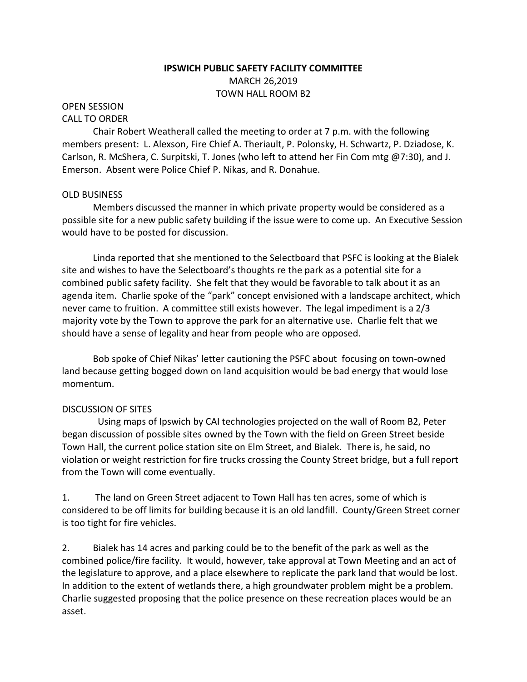## **IPSWICH PUBLIC SAFETY FACILITY COMMITTEE** MARCH 26,2019 TOWN HALL ROOM B2

# OPEN SESSION

### CALL TO ORDER

Chair Robert Weatherall called the meeting to order at 7 p.m. with the following members present: L. Alexson, Fire Chief A. Theriault, P. Polonsky, H. Schwartz, P. Dziadose, K. Carlson, R. McShera, C. Surpitski, T. Jones (who left to attend her Fin Com mtg @7:30), and J. Emerson. Absent were Police Chief P. Nikas, and R. Donahue.

#### OLD BUSINESS

Members discussed the manner in which private property would be considered as a possible site for a new public safety building if the issue were to come up. An Executive Session would have to be posted for discussion.

Linda reported that she mentioned to the Selectboard that PSFC is looking at the Bialek site and wishes to have the Selectboard's thoughts re the park as a potential site for a combined public safety facility. She felt that they would be favorable to talk about it as an agenda item. Charlie spoke of the "park" concept envisioned with a landscape architect, which never came to fruition. A committee still exists however. The legal impediment is a 2/3 majority vote by the Town to approve the park for an alternative use. Charlie felt that we should have a sense of legality and hear from people who are opposed.

Bob spoke of Chief Nikas' letter cautioning the PSFC about focusing on town-owned land because getting bogged down on land acquisition would be bad energy that would lose momentum.

#### DISCUSSION OF SITES

 Using maps of Ipswich by CAI technologies projected on the wall of Room B2, Peter began discussion of possible sites owned by the Town with the field on Green Street beside Town Hall, the current police station site on Elm Street, and Bialek. There is, he said, no violation or weight restriction for fire trucks crossing the County Street bridge, but a full report from the Town will come eventually.

1. The land on Green Street adjacent to Town Hall has ten acres, some of which is considered to be off limits for building because it is an old landfill. County/Green Street corner is too tight for fire vehicles.

2. Bialek has 14 acres and parking could be to the benefit of the park as well as the combined police/fire facility. It would, however, take approval at Town Meeting and an act of the legislature to approve, and a place elsewhere to replicate the park land that would be lost. In addition to the extent of wetlands there, a high groundwater problem might be a problem. Charlie suggested proposing that the police presence on these recreation places would be an asset.